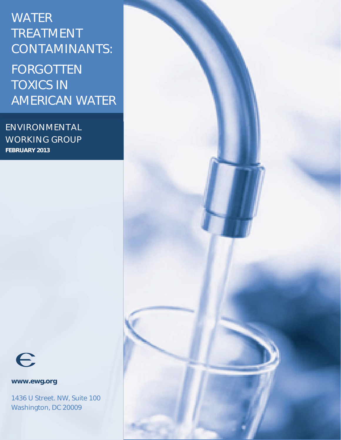## **WATER TREATMENT CONTAMINANTS:** FORGOTTEN TOXICS IN AMERICAN WATER

**ENVIRONMENTAL WORKING GROUP FEBRUARY 2013**



**www.ewg.org** 

1436 U Street. NW, Suite 100 Washington, DC 20009

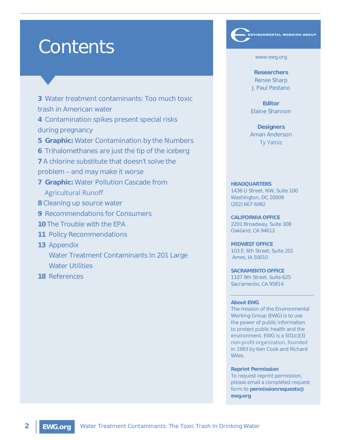# Contents

**3** Water treatment contaminants: Too much toxic trash in American water

**4** Contamination spikes present special risks during pregnancy

**5 Graphic:** Water Contamination by the Numbers

**6** Trihalomethanes are just the tip of the iceberg

**7** A chlorine substitute that doesn't solve the

problem – and may make it worse

- **7 Graphic:** Water Pollution Cascade from Agricultural Runoff
- **8** Cleaning up source water
- **9** Recommendations for Consumers
- **10** The Trouble with the EPA
- **11** Policy Recommendations
- **13** Appendix

 Water Treatment Contaminants In 201 Large Water Utilities

**18** References

www.ewg.org

\_<br>ENVIRONMENTAL WORKING GROUP

**Researchers** Renee Sharp J. Paul Pestano

**Editor** Elaine Shannon

**Designers** Aman Anderson **Ty Yalniz** 

#### **HEADQUARTERS**

1436 U Street. NW, Suite 100 Washington, DC 20009 (202) 667-6982

**CALIFORNIA OFFICE**  2201 Broadway, Suite 308 Oakland, CA 94612

**MIDWEST OFFICE**  103 E. 6th Street, Suite 201 Ames, IA 50010

**SACRAMENTO OFFICE** 1107 9th Street, Suite 625 Sacramento, CA 95814

#### **About EWG**

The mission of the Environmental Working Group (EWG) is to use the power of public information to protect public health and the environment. EWG is a 501(c)(3) non-profit organization, founded in 1993 by Ken Cook and Richard Wiles.

**Reprint Permission**

To request reprint permission, please email a completed request form to **permissionrequests@ ewg.org**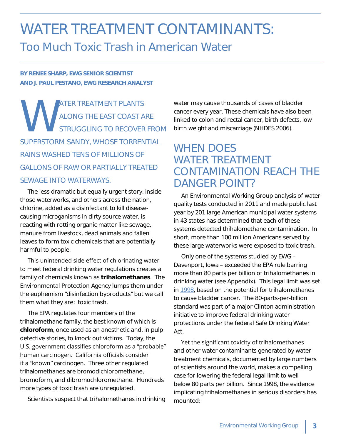## WATER TREATMENT CONTAMINANTS: Too Much Toxic Trash in American Water

**BY RENEE SHARP, EWG SENIOR SCIENTIST AND J. PAUL PESTANO, EWG RESEARCH ANALYST**

WATER TREATMENT PLANTS ALONG THE EAST COAST ARE STRUGGLING TO RECOVER FROM SUPERSTORM SANDY, WHOSE TORRENTIAL RAINS WASHED TENS OF MILLIONS OF GALLONS OF RAW OR PARTIALLY TREATED SEWAGE INTO WATERWAYS.

The less dramatic but equally urgent story: inside those waterworks, and others across the nation, chlorine, added as a disinfectant to kill diseasecausing microganisms in dirty source water, is reacting with rotting organic matter like sewage, manure from livestock, dead animals and fallen leaves to form toxic chemicals that are potentially harmful to people.

This unintended side effect of chlorinating water to meet federal drinking water regulations creates a family of chemicals known as **trihalomethanes**. The Environmental Protection Agency lumps them under the euphemism "disinfection byproducts" but we call them what they are: toxic trash.

The EPA regulates four members of the trihalomethane family, the best known of which is **chloroform**, once used as an anesthetic and, in pulp detective stories, to knock out victims. Today, the U.S. government classifies chloroform as a "probable" human carcinogen. California officials consider it a "known" carcinogen. Three other regulated trihalomethanes are bromodichloromethane, bromoform, and dibromochloromethane. Hundreds more types of toxic trash are unregulated.

Scientists suspect that trihalomethanes in drinking

water may cause thousands of cases of bladder cancer every year. These chemicals have also been linked to colon and rectal cancer, birth defects, low birth weight and miscarriage (NHDES 2006).

#### WHEN DOES WATER TREATMENT CONTAMINATION REACH THE DANGER POINT?

An Environmental Working Group analysis of water quality tests conducted in 2011 and made public last year by 201 large American municipal water systems in 43 states has determined that each of these systems detected thihalomethane contamination. In short, more than 100 million Americans served by these large waterworks were exposed to toxic trash.

Only one of the systems studied by EWG – Davenport, Iowa – exceeded the EPA rule barring more than 80 parts per billion of trihalomethanes in drinking water (see Appendix). This legal limit was set in 1998, based on the potential for trihalomethanes to cause bladder cancer. The 80-parts-per-billion standard was part of a major Clinton administration initiative to improve federal drinking water protections under the federal Safe Drinking Water Act.

Yet the significant toxicity of trihalomethanes and other water contaminants generated by water treatment chemicals, documented by large numbers of scientists around the world, makes a compelling case for lowering the federal legal limit to well below 80 parts per billion. Since 1998, the evidence implicating trihalomethanes in serious disorders has mounted: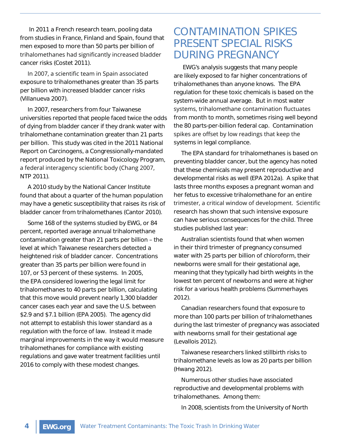In 2011 a French research team, pooling data from studies in France, Finland and Spain, found that men exposed to more than 50 parts per billion of trihalomethanes had significantly increased bladder cancer risks (Costet 2011).

In 2007, a scientific team in Spain associated exposure to trihalomethanes greater than 35 parts per billion with increased bladder cancer risks (Villanueva 2007).

In 2007, researchers from four Taiwanese universities reported that people faced twice the odds of dying from bladder cancer if they drank water with trihalomethane contamination greater than 21 parts per billion. This study was cited in the 2011 National Report on Carcinogens, a Congressionally-mandated report produced by the National Toxicology Program, a federal interagency scientific body (Chang 2007, NTP 2011).

A 2010 study by the National Cancer Institute found that about a quarter of the human population may have a genetic susceptibility that raises its risk of bladder cancer from trihalomethanes (Cantor 2010).

Some 168 of the systems studied by EWG, or 84 percent, reported average annual trihalomethane contamination greater than 21 parts per billion – the level at which Taiwanese researchers detected a heightened risk of bladder cancer. Concentrations greater than 35 parts per billion were found in 107, or 53 percent of these systems. In 2005, the EPA considered lowering the legal limit for trihalomethanes to 40 parts per billion, calculating that this move would prevent nearly 1,300 bladder cancer cases each year and save the U.S. between \$2.9 and \$7.1 billion (EPA 2005). The agency did not attempt to establish this lower standard as a regulation with the force of law. Instead it made marginal improvements in the way it would measure trihalomethanes for compliance with existing regulations and gave water treatment facilities until 2016 to comply with these modest changes.

#### CONTAMINATION SPIKES PRESENT SPECIAL RISKS DURING PREGNANCY

 EWG's analysis suggests that many people are likely exposed to far higher concentrations of trihalomethanes than anyone knows. The EPA regulation for these toxic chemicals is based on the system-wide annual average. But in most water systems, trihalomethane contamination fluctuates from month to month, sometimes rising well beyond the 80 parts-per-billion federal cap. Contamination spikes are offset by low readings that keep the systems in legal compliance.

The EPA standard for trihalomethanes is based on preventing bladder cancer, but the agency has noted that these chemicals may present reproductive and developmental risks as well (EPA 2012a). A spike that lasts three months exposes a pregnant woman and her fetus to excessive trihalomethane for an entire trimester, a critical window of development. Scientific research has shown that such intensive exposure can have serious consequences for the child. Three studies published last year:

Australian scientists found that when women in their third trimester of pregnancy consumed water with 25 parts per billion of chloroform, their newborns were small for their gestational age, meaning that they typically had birth weights in the lowest ten percent of newborns and were at higher risk for a various health problems (Summerhayes 2012).

Canadian researchers found that exposure to more than 100 parts per billion of trihalomethanes during the last trimester of pregnancy was associated with newborns small for their gestational age (Levallois 2012).

Taiwanese researchers linked stillbirth risks to trihalomethane levels as low as 20 parts per billion (Hwang 2012).

Numerous other studies have associated reproductive and developmental problems with trihalomethanes. Among them:

In 2008, scientists from the University of North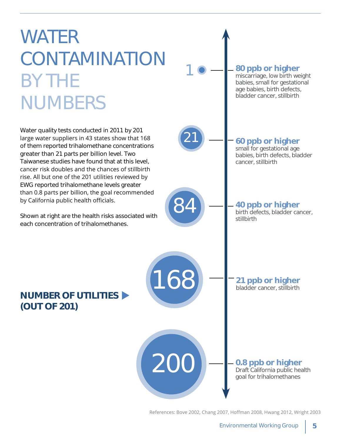

References: Bove 2002, Chang 2007, Hoffman 2008, Hwang 2012, Wright 2003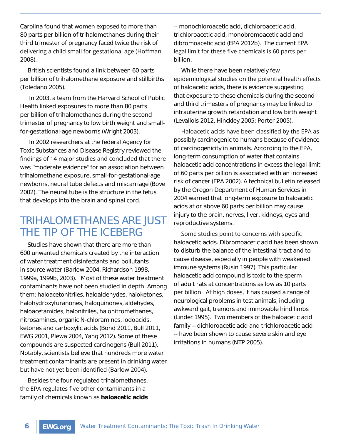Carolina found that women exposed to more than 80 parts per billion of trihalomethanes during their third trimester of pregnancy faced twice the risk of delivering a child small for gestational age (Hoffman 2008).

British scientists found a link between 60 parts per billion of trihalomethane exposure and stillbirths (Toledano 2005).

 In 2003, a team from the Harvard School of Public Health linked exposures to more than 80 parts per billion of trihalomethanes during the second trimester of pregnancy to low birth weight and smallfor-gestational-age newborns (Wright 2003).

 In 2002 researchers at the federal Agency for Toxic Substances and Disease Registry reviewed the findings of 14 major studies and concluded that there was "moderate evidence" for an association between trihalomethane exposure, small-for-gestational-age newborns, neural tube defects and miscarriage (Bove 2002). The neural tube is the structure in the fetus that develops into the brain and spinal cord.

#### TRIHALOMETHANES ARE JUST THE TIP OF THE ICEBERG

Studies have shown that there are more than 600 unwanted chemicals created by the interaction of water treatment disinfectants and pollutants in source water (Barlow 2004, Richardson 1998, 1999a, 1999b, 2003). Most of these water treatment contaminants have not been studied in depth. Among them: haloacetonitriles, haloaldehydes, haloketones, halohydroxyfuranones, haloquinones, aldehydes, haloacetamides, halonitriles, halonitromethanes, nitrosamines, organic N-chloramines, iodoacids, ketones and carboxylic acids (Bond 2011, Bull 2011, EWG 2001, Plewa 2004, Yang 2012). Some of these compounds are suspected carcinogens (Bull 2011). Notably, scientists believe that hundreds more water treatment contaminants are present in drinking water but have not yet been identified (Barlow 2004).

Besides the four regulated trihalomethanes, the EPA regulates five other contaminants in a family of chemicals known as **haloacetic acids**

-- monochloroacetic acid, dichloroacetic acid, trichloroacetic acid, monobromoacetic acid and dibromoacetic acid (EPA 2012b). The current EPA legal limit for these five chemicals is 60 parts per billion.

While there have been relatively few epidemiological studies on the potential health effects of haloacetic acids, there is evidence suggesting that exposure to these chemicals during the second and third trimesters of pregnancy may be linked to intrauterine growth retardation and low birth weight (Levallois 2012, Hinckley 2005; Porter 2005).

Haloacetic acids have been classified by the EPA as possibly carcinogenic to humans because of evidence of carcinogenicity in animals. According to the EPA, long-term consumption of water that contains haloacetic acid concentrations in excess the legal limit of 60 parts per billion is associated with an increased risk of cancer (EPA 2002). A technical bulletin released by the Oregon Department of Human Services in 2004 warned that long-term exposure to haloacetic acids at or above 60 parts per billion may cause injury to the brain, nerves, liver, kidneys, eyes and reproductive systems.

Some studies point to concerns with specific haloacetic acids. Dibromoacetic acid has been shown to disturb the balance of the intestinal tract and to cause disease, especially in people with weakened immune systems (Rusin 1997). This particular haloacetic acid compound is toxic to the sperm of adult rats at concentrations as low as 10 parts per billion. At high doses, it has caused a range of neurological problems in test animals, including awkward gait, tremors and immovable hind limbs (Linder 1995). Two members of the haloacetic acid family -- dichloroacetic acid and trichloroacetic acid -- have been shown to cause severe skin and eye irritations in humans (NTP 2005).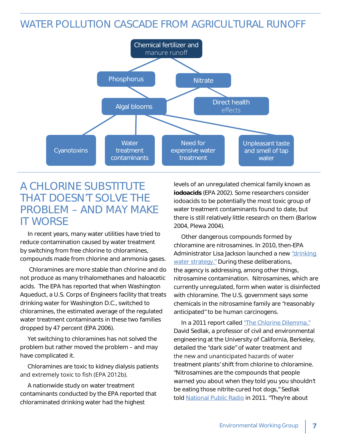#### WATER POLLUTION CASCADE FROM AGRICULTURAL RUNOFF



#### A CHLORINE SUBSTITUTE THAT DOESN'T SOLVE THE PROBLEM – AND MAY MAKE IT WORSE

In recent years, many water utilities have tried to reduce contamination caused by water treatment by switching from free chlorine to chloramines, compounds made from chlorine and ammonia gases.

 Chloramines are more stable than chlorine and do not produce as many trihalomethanes and haloacetic acids. The EPA has reported that when Washington Aqueduct, a U.S. Corps of Engineers facility that treats drinking water for Washington D.C., switched to chloramines, the estimated average of the regulated water treatment contaminants in these two families dropped by 47 percent (EPA 2006).

Yet switching to chloramines has not solved the problem but rather moved the problem – and may have complicated it.

Chloramines are toxic to kidney dialysis patients and extremely toxic to fish (EPA 2012b).

A nationwide study on water treatment contaminants conducted by the EPA reported that chloraminated drinking water had the highest

levels of an unregulated chemical family known as **iodoacids** (EPA 2002). Some researchers consider iodoacids to be potentially the most toxic group of water treatment contaminants found to date, but there is still relatively little research on them (Barlow 2004, Plewa 2004).

Other dangerous compounds formed by chloramine are nitrosamines. In 2010, then-EPA Administrator Lisa Jackson launched a new "drinking water strategy." During these deliberations, the agency is addressing, among other things, nitrosamine contamination. Nitrosamines, which are currently unregulated, form when water is disinfected with chloramine. The U.S. government says some chemicals in the nitrosamine family are "reasonably anticipated" to be human carcinogens.

In a 2011 report called "The Chlorine Dilemma," David Sedlak, a professor of civil and environmental engineering at the University of California, Berkeley, detailed the "dark side" of water treatment and the new and unanticipated hazards of water treatment plants' shift from chlorine to chloramine. "Nitrosamines are the compounds that people warned you about when they told you you shouldn't be eating those nitrite-cured hot dogs," Sedlak told National Public Radio in 2011. "They're about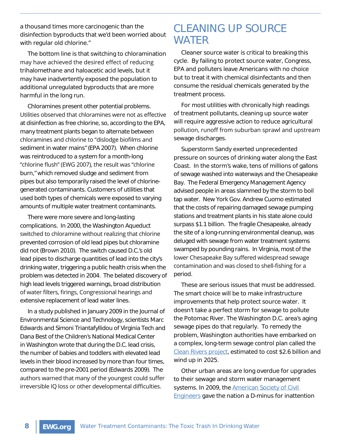a thousand times more carcinogenic than the disinfection byproducts that we'd been worried about with regular old chlorine."

The bottom line is that switching to chloramination may have achieved the desired effect of reducing trihalomethane and haloacetic acid levels, but it may have inadvertently exposed the population to additional unregulated byproducts that are more harmful in the long run.

Chloramines present other potential problems. Utilities observed that chloramines were not as effective at disinfection as free chlorine, so, according to the EPA, many treatment plants began to alternate between chloramines and chlorine to "dislodge biofilms and sediment in water mains" (EPA 2007). When chlorine was reintroduced to a system for a month-long "chlorine flush" (EWG 2007), the result was "chlorine burn," which removed sludge and sediment from pipes but also temporarily raised the level of chlorinegenerated contaminants. Customers of utilities that used both types of chemicals were exposed to varying amounts of multiple water treatment contaminants.

There were more severe and long-lasting complications. In 2000, the Washington Aqueduct switched to chloramine without realizing that chlorine prevented corrosion of old lead pipes but chloramine did not (Brown 2010). The switch caused D.C.'s old lead pipes to discharge quantities of lead into the city's drinking water, triggering a public health crisis when the problem was detected in 2004. The belated discovery of high lead levels triggered warnings, broad distribution of water filters, firings, Congressional hearings and extensive replacement of lead water lines.

In a study published in January 2009 in the Journal of Environmental Science and Technology, scientists Marc Edwards and Simoni Triantafyllidou of Virginia Tech and Dana Best of the Children's National Medical Center in Washington wrote that during the D.C. lead crisis, the number of babies and toddlers with elevated lead levels in their blood increased by more than four times, compared to the pre-2001 period (Edwards 2009). The authors warned that many of the youngest could suffer irreversible IQ loss or other developmental difficulties.

#### CLEANING UP SOURCE WATER

Cleaner source water is critical to breaking this cycle. By failing to protect source water, Congress, EPA and polluters leave Americans with no choice but to treat it with chemical disinfectants and then consume the residual chemicals generated by the treatment process.

For most utilities with chronically high readings of treatment pollutants, cleaning up source water will require aggressive action to reduce agricultural pollution, runoff from suburban sprawl and upstream sewage discharges.

Superstorm Sandy exerted unprecedented pressure on sources of drinking water along the East Coast. In the storm's wake, tens of millions of gallons of sewage washed into waterways and the Chesapeake Bay. The Federal Emergency Management Agency advised people in areas slammed by the storm to boil tap water. New York Gov. Andrew Cuomo estimated that the costs of repairing damaged sewage pumping stations and treatment plants in his state alone could surpass \$1.1 billion. The fragile Chesapeake, already the site of a long-running environmental cleanup, was deluged with sewage from water treatment systems swamped by pounding rains. In Virginia, most of the lower Chesapeake Bay suffered widespread sewage contamination and was closed to shell-fishing for a period.

These are serious issues that must be addressed. The smart choice will be to make infrastructure improvements that help protect source water. It doesn't take a perfect storm for sewage to pollute the Potomac River. The Washington D.C. area's aging sewage pipes do that regularly. To remedy the problem, Washington authorities have embarked on a complex, long-term sewage control plan called the Clean Rivers project, estimated to cost \$2.6 billion and wind up in 2025.

Other urban areas are long overdue for upgrades to their sewage and storm water management systems. In 2009, the American Society of Civil **Engineers gave the nation a D-minus for inattention**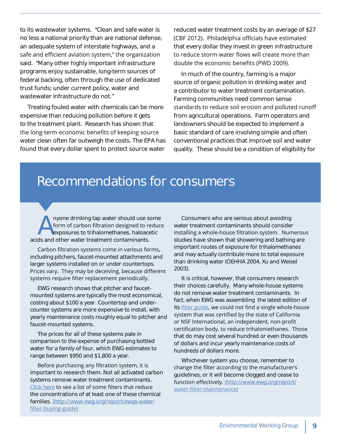to its wastewater systems. "Clean and safe water is no less a national priority than are national defense, an adequate system of interstate highways, and a safe and efficient aviation system," the organization said. "Many other highly important infrastructure programs enjoy sustainable, long-term sources of federal backing, often through the use of dedicated trust funds; under current policy, water and wastewater infrastructure do not."

Treating fouled water with chemicals can be more expensive than reducing pollution before it gets to the treatment plant. Research has shown that the long-term economic benefits of keeping source water clean often far outweigh the costs. The EPA has found that every dollar spent to protect source water reduced water treatment costs by an average of \$27 (CBF 2012). Philadelphia officials have estimated that every dollar they invest in green infrastructure to reduce storm water flows will create more than double the economic benefits (PWD 2009).

In much of the country, farming is a major source of organic pollution in drinking water and a contributor to water treatment contamination. Farming communities need common sense standards to reduce soil erosion and polluted runoff from agricultural operations. Farm operators and landowners should be expected to implement a basic standard of care involving simple and often conventional practices that improve soil and water quality. These should be a condition of eligibility for

## Recommendations for consumers

Anyone drinking tap water should use some<br>form of carbon filtration designed to reduce<br>exposures to trihalomethanes, haloacetic<br>ds and other water treatment contaminants form of carbon filtration designed to reduce exposures to trihalomethanes, haloacetic acids and other water treatment contaminants.

Carbon filtration systems come in various forms, including pitchers, faucet-mounted attachments and larger systems installed on or under countertops. Prices vary. They may be deceiving, because different systems require filter replacement periodically.

EWG research shows that pitcher and faucetmounted systems are typically the most economical, costing about \$100 a year. Countertop and undercounter systems are more expensive to install, with yearly maintenance costs roughly equal to pitcher and faucet-mounted systems.

The prices for all of these systems pale in comparison to the expense of purchasing bottled water for a family of four, which EWG estimates to range between \$950 and \$1,800 a year.

Before purchasing any filtration system, it is important to research them. Not all activated carbon systems remove water treatment contaminants. Click here to see a list of some filters that reduce the concentrations of at least one of these chemical families. (http://www.ewg.org/report/ewgs-waterfilter-buying-guide)

Consumers who are serious about avoiding water treatment contaminants should consider installing a whole-house filtration system. Numerous studies have shown that showering and bathing are important routes of exposure for trihalomethanes and may actually contribute more to total exposure than drinking water (OEHHA 2004, Xu and Weisel 2003).

It is critical, however, that consumers research their choices carefully. Many whole-house systems do not remove water treatment contaminants. In fact, when EWG was assembling the latest edition of its filter guide, we could not find a single whole-house system that was certified by the state of California or NSF International, an independent, non-profit certification body, to reduce trihalomethanes. Those that do may cost several hundred or even thousands of dollars and incur yearly maintenance costs of hundreds of dollars more.

Whichever system you choose, remember to change the filter according to the manufacturer's guidelines, or it will become clogged and cease to function effectively. (http://www.ewg.org/report/ water-filter-maintenance)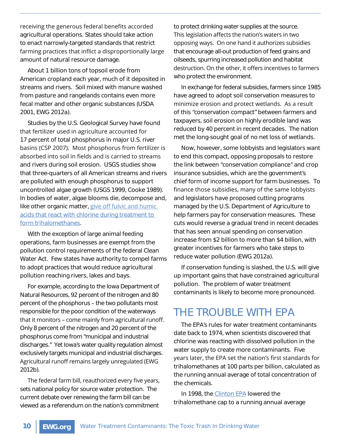receiving the generous federal benefits accorded agricultural operations. States should take action to enact narrowly-targeted standards that restrict farming practices that inflict a disproportionally large amount of natural resource damage.

About 1 billion tons of topsoil erode from American cropland each year, much of it deposited in streams and rivers. Soil mixed with manure washed from pasture and rangelands contains even more fecal matter and other organic substances (USDA 2001, EWG 2012a).

Studies by the U.S. Geological Survey have found that fertilizer used in agriculture accounted for 17 percent of total phosphorus in major U.S. river basins (CSP 2007). Most phosphorus from fertilizer is absorbed into soil in fields and is carried to streams and rivers during soil erosion. USGS studies show that three-quarters of all American streams and rivers are polluted with enough phosphorus to support uncontrolled algae growth (USGS 1999, Cooke 1989). In bodies of water, algae blooms die, decompose and, like other organic matter, give off fulvic and humic acids that react with chlorine during treatment to form trihalomethanes.

With the exception of large animal feeding operations, farm businesses are exempt from the pollution control requirements of the federal Clean Water Act. Few states have authority to compel farms to adopt practices that would reduce agricultural pollution reaching rivers, lakes and bays.

For example, according to the Iowa Department of Natural Resources, 92 percent of the nitrogen and 80 percent of the phosphorus – the two pollutants most responsible for the poor condition of the waterways that it monitors - come mainly from agricultural runoff. Only 8 percent of the nitrogen and 20 percent of the phosphorus come from "municipal and industrial discharges." Yet Iowa's water quality regulation almost exclusively targets municipal and industrial discharges. Agricultural runoff remains largely unregulated (EWG 2012b).

The federal farm bill, reauthorized every five years, sets national policy for source water protection. The current debate over renewing the farm bill can be viewed as a referendum on the nation's commitment

to protect drinking water supplies at the source. This legislation affects the nation's waters in two opposing ways. On one hand it authorizes subsidies that encourage all-out production of feed grains and oilseeds, spurring increased pollution and habitat destruction. On the other, it offers incentives to farmers who protect the environment.

In exchange for federal subsidies, farmers since 1985 have agreed to adopt soil conservation measures to minimize erosion and protect wetlands. As a result of this "conservation compact" between farmers and taxpayers, soil erosion on highly erodible land was reduced by 40 percent in recent decades. The nation met the long-sought goal of no net loss of wetlands.

Now, however, some lobbyists and legislators want to end this compact, opposing proposals to restore the link between "conservation compliance" and crop insurance subsidies, which are the government's chief form of income support for farm businesses. To finance those subsidies, many of the same lobbyists and legislators have proposed cutting programs managed by the U.S. Department of Agriculture to help farmers pay for conservation measures. These cuts would reverse a gradual trend in recent decades that has seen annual spending on conservation increase from \$2 billion to more than \$4 billion, with greater incentives for farmers who take steps to reduce water pollution (EWG 2012a).

If conservation funding is slashed, the U.S. will give up important gains that have constrained agricultural pollution. The problem of water treatment contaminants is likely to become more pronounced.

#### THE TROUBLE WITH EPA

The EPA's rules for water treatment contaminants date back to 1974, when scientists discovered that chlorine was reacting with dissolved pollution in the water supply to create more contaminants. Five years later, the EPA set the nation's first standards for trihalomethanes at 100 parts per billion, calculated as the running annual average of total concentration of the chemicals.

In 1998, the Clinton EPA lowered the trihalomethane cap to a running annual average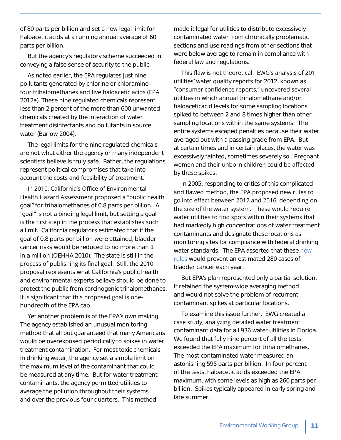of 80 parts per billion and set a new legal limit for haloacetic acids at a running annual average of 60 parts per billion.

But the agency's regulatory scheme succeeded in conveying a false sense of security to the public.

As noted earlier, the EPA regulates just nine pollutants generated by chlorine or chloramine- four trihalomethanes and five haloacetic acids (EPA 2012a). These nine regulated chemicals represent less than 2 percent of the more than 600 unwanted chemicals created by the interaction of water treatment disinfectants and pollutants in source water (Barlow 2004).

The legal limits for the nine regulated chemicals are not what either the agency or many independent scientists believe is truly safe. Rather, the regulations represent political compromises that take into account the costs and feasibility of treatment.

In 2010, California's Office of Environmental Health Hazard Assessment proposed a "public health goal" for trihalomethanes of 0.8 parts per billion. A "goal" is not a binding legal limit, but setting a goal is the first step in the process that establishes such a limit. California regulators estimated that if the goal of 0.8 parts per billion were attained, bladder cancer risks would be reduced to no more than 1 in a million (OEHHA 2010). The state is still in the process of publishing its final goal. Still, the 2010 proposal represents what California's public health and environmental experts believe should be done to protect the public from carcinogenic trihalomethanes. It is significant that this proposed goal is onehundredth of the EPA cap.

Yet another problem is of the EPA's own making. The agency established an unusual monitoring method that all but guaranteed that many Americans would be overexposed periodically to spikes in water treatment contamination. For most toxic chemicals in drinking water, the agency set a simple limit on the maximum level of the contaminant that could be measured at any time. But for water treatment contaminants, the agency permitted utilities to average the pollution throughout their systems and over the previous four quarters. This method

made it legal for utilities to distribute excessively contaminated water from chronically problematic sections and use readings from other sections that were below average to remain in compliance with federal law and regulations.

This flaw is not theoretical. EWG's analysis of 201 utilities' water quality reports for 2012, known as "consumer confidence reports," uncovered several utilities in which annual trihalomethane and/or haloaceticacid levels for some sampling locations spiked to between 2 and 8 times higher than other sampling locations within the same systems. The entire systems escaped penalties because their water averaged out with a passing grade from EPA. But at certain times and in certain places, the water was excessively tainted, sometimes severely so. Pregnant women and their unborn children could be affected by these spikes.

In 2005, responding to critics of this complicated and flawed method, the EPA proposed new rules to go into effect between 2012 and 2016, depending on the size of the water system. These would require water utilities to find spots within their systems that had markedly high concentrations of water treatment contaminants and designate these locations as monitoring sites for compliance with federal drinking water standards. The EPA asserted that these new rules would prevent an estimated 280 cases of bladder cancer each year.

But EPA's plan represented only a partial solution. It retained the system-wide averaging method and would not solve the problem of recurrent contaminant spikes at particular locations.

To examine this issue further. EWG created a case study, analyzing detailed water treatment contaminant data for all 936 water utilities in Florida. We found that fully nine percent of all the tests exceeded the EPA maximum for trihalomethanes. The most contaminated water measured an astonishing 595 parts per billion. In four percent of the tests, haloacetic acids exceeded the EPA maximum, with some levels as high as 260 parts per billion. Spikes typically appeared in early spring and late summer.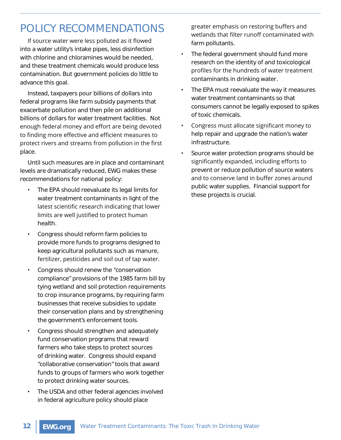### POLICY RECOMMENDATIONS

If source water were less polluted as it flowed into a water utility's intake pipes, less disinfection with chlorine and chloramines would be needed, and these treatment chemicals would produce less contamination. But government policies do little to advance this goal.

Instead, taxpayers pour billions of dollars into federal programs like farm subsidy payments that exacerbate pollution and then pile on additional billions of dollars for water treatment facilities. Not enough federal money and effort are being devoted to finding more effective and efficient measures to protect rivers and streams from pollution in the first place.

Until such measures are in place and contaminant levels are dramatically reduced, EWG makes these recommendations for national policy:

- The EPA should reevaluate its legal limits for water treatment contaminants in light of the latest scientific research indicating that lower limits are well justified to protect human health.
- ȏ Congress should reform farm policies to provide more funds to programs designed to keep agricultural pollutants such as manure, fertilizer, pesticides and soil out of tap water.
- ȏ Congress should renew the "conservation compliance" provisions of the 1985 farm bill by tying wetland and soil protection requirements to crop insurance programs, by requiring farm businesses that receive subsidies to update their conservation plans and by strengthening the government's enforcement tools.
- Congress should strengthen and adequately fund conservation programs that reward farmers who take steps to protect sources of drinking water. Congress should expand "collaborative conservation" tools that award funds to groups of farmers who work together to protect drinking water sources.
- ȏ The USDA and other federal agencies involved in federal agriculture policy should place

greater emphasis on restoring buffers and wetlands that filter runoff contaminated with farm pollutants.

- ȏ The federal government should fund more research on the identity of and toxicological profiles for the hundreds of water treatment contaminants in drinking water.
- ȏ The EPA must reevaluate the way it measures water treatment contaminants so that consumers cannot be legally exposed to spikes of toxic chemicals.
- Congress must allocate significant money to help repair and upgrade the nation's water infrastructure.
- Source water protection programs should be significantly expanded, including efforts to prevent or reduce pollution of source waters and to conserve land in buffer zones around public water supplies. Financial support for these projects is crucial.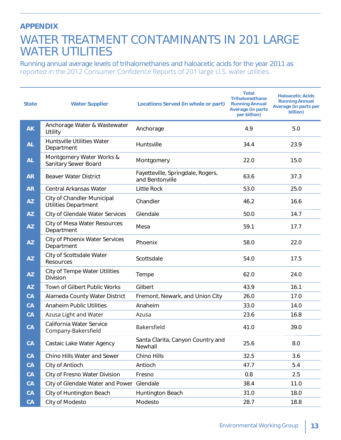#### **APPENDIX**

### WATER TREATMENT CONTAMINANTS IN 201 LARGE WATER UTILITIES

Running annual average levels of trihalomethanes and haloacetic acids for the year 2011 as reported in the 2012 Consumer Confidence Reports of 201 large U.S. water utilities.

| <b>State</b> | <b>Water Supplier</b>                                     | Locations Served (in whole or part)                  | <b>Total</b><br><b>Trihalomethane</b><br><b>Running Annual</b><br><b>Average (in parts)</b><br>per billion) | <b>Haloacetic Acids</b><br><b>Running Annual</b><br>Average (in parts per<br>billion) |
|--------------|-----------------------------------------------------------|------------------------------------------------------|-------------------------------------------------------------------------------------------------------------|---------------------------------------------------------------------------------------|
| <b>AK</b>    | Anchorage Water & Wastewater<br>Utility                   | Anchorage                                            | 4.9                                                                                                         | 5.0                                                                                   |
| <b>AL</b>    | <b>Huntsville Utilities Water</b><br>Department           | Huntsville                                           | 34.4                                                                                                        | 23.9                                                                                  |
| <b>AL</b>    | Montgomery Water Works &<br>Sanitary Sewer Board          | Montgomery                                           | 22.0                                                                                                        | 15.0                                                                                  |
| <b>AR</b>    | <b>Beaver Water District</b>                              | Fayetteville, Springdale, Rogers,<br>and Bentonville | 63.6                                                                                                        | 37.3                                                                                  |
| <b>AR</b>    | Central Arkansas Water                                    | <b>Little Rock</b>                                   | 53.0                                                                                                        | 25.0                                                                                  |
| <b>AZ</b>    | City of Chandler Municipal<br><b>Utilities Department</b> | Chandler                                             | 46.2                                                                                                        | 16.6                                                                                  |
| <b>AZ</b>    | City of Glendale Water Services                           | Glendale                                             | 50.0                                                                                                        | 14.7                                                                                  |
| <b>AZ</b>    | City of Mesa Water Resources<br>Department                | Mesa                                                 | 59.1                                                                                                        | 17.7                                                                                  |
| <b>AZ</b>    | <b>City of Phoenix Water Services</b><br>Department       | Phoenix                                              | 58.0                                                                                                        | 22.0                                                                                  |
| <b>AZ</b>    | City of Scottsdale Water<br>Resources                     | Scottsdale                                           | 54.0                                                                                                        | 17.5                                                                                  |
| <b>AZ</b>    | City of Tempe Water Utilities<br>Division                 | Tempe                                                | 62.0                                                                                                        | 24.0                                                                                  |
| <b>AZ</b>    | Town of Gilbert Public Works                              | Gilbert                                              | 43.9                                                                                                        | 16.1                                                                                  |
| CA           | Alameda County Water District                             | Fremont, Newark, and Union City                      | 26.0                                                                                                        | 17.0                                                                                  |
| <b>CA</b>    | <b>Anaheim Public Utilities</b>                           | Anaheim                                              | 33.0                                                                                                        | 14.0                                                                                  |
| CA           | Azusa Light and Water                                     | Azusa                                                | 23.6                                                                                                        | 16.8                                                                                  |
| <b>CA</b>    | California Water Service<br>Company-Bakersfield           | Bakersfield                                          | 41.0                                                                                                        | 39.0                                                                                  |
| CA           | Castaic Lake Water Agency                                 | Santa Clarita, Canyon Country and<br>Newhall         | 25.6                                                                                                        | 8.0                                                                                   |
| CA           | Chino Hills Water and Sewer                               | Chino Hills                                          | 32.5                                                                                                        | 3.6                                                                                   |
| CA           | City of Antioch                                           | Antioch                                              | 47.7                                                                                                        | 5.4                                                                                   |
| CA           | City of Fresno Water Division                             | Fresno                                               | 0.8                                                                                                         | 2.5                                                                                   |
| CA           | City of Glendale Water and Power Glendale                 |                                                      | 38.4                                                                                                        | 11.0                                                                                  |
| CA           | City of Huntington Beach                                  | Huntington Beach                                     | 31.0                                                                                                        | 18.0                                                                                  |
| CA           | City of Modesto                                           | Modesto                                              | 28.7                                                                                                        | 18.8                                                                                  |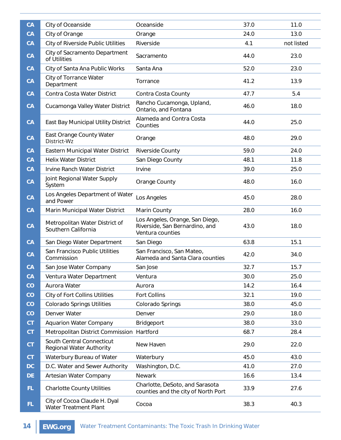| <b>CA</b> | City of Oceanside                                     | Oceanside                                                                             | 37.0 | 11.0       |
|-----------|-------------------------------------------------------|---------------------------------------------------------------------------------------|------|------------|
| <b>CA</b> | City of Orange                                        | Orange                                                                                | 24.0 | 13.0       |
| <b>CA</b> | City of Riverside Public Utilities                    | Riverside                                                                             | 4.1  | not listed |
| CA        | City of Sacramento Department<br>of Utilities         | Sacramento                                                                            | 44.0 | 23.0       |
| <b>CA</b> | City of Santa Ana Public Works                        | Santa Ana                                                                             | 52.0 | 23.0       |
| CA        | City of Torrance Water<br>Department                  | Torrance                                                                              | 41.2 | 13.9       |
| <b>CA</b> | Contra Costa Water District                           | Contra Costa County                                                                   | 47.7 | 5.4        |
| <b>CA</b> | Cucamonga Valley Water District                       | Rancho Cucamonga, Upland,<br>Ontario, and Fontana                                     | 46.0 | 18.0       |
| CA        | East Bay Municipal Utility District                   | Alameda and Contra Costa<br>Counties                                                  | 44.0 | 25.0       |
| CA        | East Orange County Water<br>District-Wz               | Orange                                                                                | 48.0 | 29.0       |
| CA        | Eastern Municipal Water District                      | Riverside County                                                                      | 59.0 | 24.0       |
| <b>CA</b> | <b>Helix Water District</b>                           | San Diego County                                                                      | 48.1 | 11.8       |
| CA        | Irvine Ranch Water District                           | Irvine                                                                                | 39.0 | 25.0       |
| CA        | Joint Regional Water Supply<br>System                 | Orange County                                                                         | 48.0 | 16.0       |
| CA        | Los Angeles Department of Water<br>and Power          | Los Angeles                                                                           | 45.0 | 28.0       |
| CA        | Marin Municipal Water District                        | Marin County                                                                          | 28.0 | 16.0       |
| CA        | Metropolitan Water District of<br>Southern California | Los Angeles, Orange, San Diego,<br>Riverside, San Bernardino, and<br>Ventura counties | 43.0 | 18.0       |
| CA        | San Diego Water Department                            | San Diego                                                                             | 63.8 | 15.1       |
| <b>CA</b> | San Francisco Public Utilities<br>Commission          | San Francisco, San Mateo,<br>Alameda and Santa Clara counties                         | 42.0 | 34.0       |
| CA        | San Jose Water Company                                | San Jose                                                                              | 32.7 | 15.7       |
| CA        | Ventura Water Department                              | Ventura                                                                               | 30.0 | 25.0       |
| CO        | Aurora Water                                          | Aurora                                                                                | 14.2 | 16.4       |
| CO        | <b>City of Fort Collins Utilities</b>                 | Fort Collins                                                                          | 32.1 | 19.0       |
| CO        | <b>Colorado Springs Utilities</b>                     | Colorado Springs                                                                      | 38.0 | 45.0       |
| CO        | Denver Water                                          | Denver                                                                                | 29.0 | 18.0       |
| <b>CT</b> | <b>Aquarion Water Company</b>                         | Bridgeport                                                                            | 38.0 | 33.0       |
| CT.       | Metropolitan District Commission Hartford             |                                                                                       | 68.7 | 28.4       |
| <b>CT</b> | South Central Connecticut<br>Regional Water Authority | New Haven                                                                             | 29.0 | 22.0       |
| <b>CT</b> | Waterbury Bureau of Water                             | Waterbury                                                                             | 45.0 | 43.0       |
| DC        | D.C. Water and Sewer Authority                        | Washington, D.C.                                                                      | 41.0 | 27.0       |
| <b>DE</b> | Artesian Water Company                                | Newark                                                                                | 16.6 | 13.4       |
| FL.       | <b>Charlotte County Utilities</b>                     | Charlotte, DeSoto, and Sarasota<br>counties and the city of North Port                | 33.9 | 27.6       |
| FL.       | City of Cocoa Claude H. Dyal<br>Water Treatment Plant | Cocoa                                                                                 | 38.3 | 40.3       |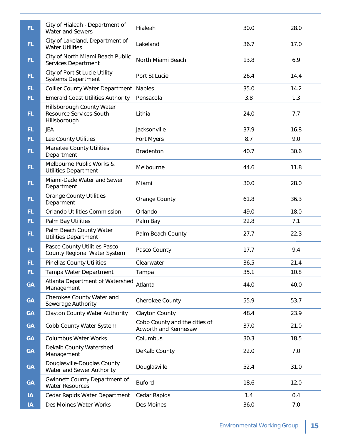| FL.       | City of Hialeah - Department of<br>Water and Sewers                  | Hialeah                                               | 30.0 | 28.0 |
|-----------|----------------------------------------------------------------------|-------------------------------------------------------|------|------|
| FL.       | City of Lakeland, Department of<br><b>Water Utilities</b>            | Lakeland                                              | 36.7 | 17.0 |
| FL.       | City of North Miami Beach Public<br>Services Department              | North Miami Beach                                     | 13.8 | 6.9  |
| FL.       | City of Port St Lucie Utility<br><b>Systems Department</b>           | Port St Lucie                                         | 26.4 | 14.4 |
| FL.       | <b>Collier County Water Department</b>                               | <b>Naples</b>                                         | 35.0 | 14.2 |
| FL.       | <b>Emerald Coast Utilities Authority</b>                             | Pensacola                                             | 3.8  | 1.3  |
| FL.       | Hillsborough County Water<br>Resource Services-South<br>Hillsborough | Lithia                                                | 24.0 | 7.7  |
| FL.       | JEA                                                                  | Jacksonville                                          | 37.9 | 16.8 |
| FL.       | Lee County Utilities                                                 | Fort Myers                                            | 8.7  | 9.0  |
| FL.       | <b>Manatee County Utilities</b><br>Department                        | Bradenton                                             | 40.7 | 30.6 |
| FL.       | Melbourne Public Works &<br><b>Utilities Department</b>              | Melbourne                                             | 44.6 | 11.8 |
| FL.       | Miami-Dade Water and Sewer<br>Department                             | Miami                                                 | 30.0 | 28.0 |
| FL.       | <b>Orange County Utilities</b><br>Deparment                          | Orange County                                         | 61.8 | 36.3 |
| FL.       | Orlando Utilities Commission                                         | Orlando                                               | 49.0 | 18.0 |
| FL.       | Palm Bay Utilities                                                   | Palm Bay                                              | 22.8 | 7.1  |
| FL.       | Palm Beach County Water<br><b>Utilities Department</b>               | Palm Beach County                                     | 27.7 | 22.3 |
| FL.       | Pasco County Utilities-Pasco<br>County Regional Water System         | Pasco County                                          | 17.7 | 9.4  |
| FL.       | <b>Pinellas County Utilities</b>                                     | Clearwater                                            | 36.5 | 21.4 |
| FL.       | Tampa Water Department                                               | Tampa                                                 | 35.1 | 10.8 |
| <b>GA</b> | Atlanta Department of Watershed<br>Management                        | Atlanta                                               | 44.0 | 40.0 |
| <b>GA</b> | Cherokee County Water and<br>Sewerage Authority                      | Cherokee County                                       | 55.9 | 53.7 |
| <b>GA</b> | <b>Clayton County Water Authority</b>                                | Clayton County                                        | 48.4 | 23.9 |
| <b>GA</b> | Cobb County Water System                                             | Cobb County and the cities of<br>Acworth and Kennesaw | 37.0 | 21.0 |
| <b>GA</b> | <b>Columbus Water Works</b>                                          | Columbus                                              | 30.3 | 18.5 |
| <b>GA</b> | Dekalb County Watershed<br>Management                                | DeKalb County                                         | 22.0 | 7.0  |
| <b>GA</b> | Douglasville-Douglas County<br>Water and Sewer Authority             | Douglasville                                          | 52.4 | 31.0 |
| <b>GA</b> | Gwinnett County Department of<br><b>Water Resources</b>              | <b>Buford</b>                                         | 18.6 | 12.0 |
| IA        | Cedar Rapids Water Department                                        | Cedar Rapids                                          | 1.4  | 0.4  |
| IA        | Des Moines Water Works                                               | Des Moines                                            | 36.0 | 7.0  |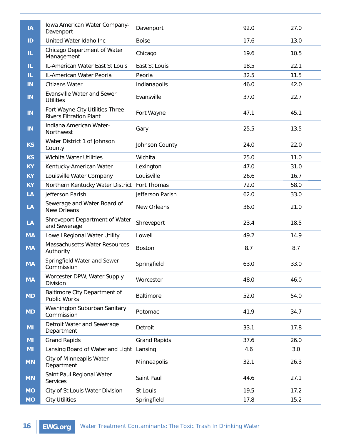| IA        | Iowa American Water Company-<br>Davenport                         | Davenport           | 92.0 | 27.0 |
|-----------|-------------------------------------------------------------------|---------------------|------|------|
| ID        | United Water Idaho Inc                                            | <b>Boise</b>        | 17.6 | 13.0 |
| IL.       | Chicago Department of Water<br>Management                         | Chicago             | 19.6 | 10.5 |
| IL.       | IL-American Water East St Louis                                   | East St Louis       | 18.5 | 22.1 |
| IL.       | IL-American Water Peoria                                          | Peoria              | 32.5 | 11.5 |
| IN        | Citizens Water                                                    | Indianapolis        | 46.0 | 42.0 |
| IN        | <b>Evansville Water and Sewer</b><br><b>Utilities</b>             | Evansville          | 37.0 | 22.7 |
| IN        | Fort Wayne City Utilities-Three<br><b>Rivers Filtration Plant</b> | Fort Wayne          | 47.1 | 45.1 |
| IN        | Indiana American Water-<br>Northwest                              | Gary                | 25.5 | 13.5 |
| <b>KS</b> | Water District 1 of Johnson<br>County                             | Johnson County      | 24.0 | 22.0 |
| <b>KS</b> | Wichita Water Utilities                                           | Wichita             | 25.0 | 11.0 |
| <b>KY</b> | Kentucky-American Water                                           | Lexington           | 47.0 | 31.0 |
| <b>KY</b> | Louisville Water Company                                          | Louisville          | 26.6 | 16.7 |
| <b>KY</b> | Northern Kentucky Water District Fort Thomas                      |                     | 72.0 | 58.0 |
| LA        | Jefferson Parish                                                  | Jefferson Parish    | 62.0 | 33.0 |
| LA        | Sewerage and Water Board of<br>New Orleans                        | New Orleans         | 36.0 | 21.0 |
| LA        | Shreveport Department of Water<br>and Sewerage                    | Shreveport          | 23.4 | 18.5 |
| <b>MA</b> | Lowell Regional Water Utility                                     | Lowell              | 49.2 | 14.9 |
| <b>MA</b> | Massachusetts Water Resources<br>Authority                        | <b>Boston</b>       | 8.7  | 8.7  |
| <b>MA</b> | Springfield Water and Sewer<br>Commission                         | Springfield         | 63.0 | 33.0 |
| <b>MA</b> | Worcester DPW, Water Supply<br>Division                           | Worcester           | 48.0 | 46.0 |
| <b>MD</b> | Baltimore City Department of<br>Public Works                      | Baltimore           | 52.0 | 54.0 |
| <b>MD</b> | Washington Suburban Sanitary<br>Commission                        | Potomac             | 41.9 | 34.7 |
| MI        | Detroit Water and Sewerage<br>Department                          | Detroit             | 33.1 | 17.8 |
| MI        | <b>Grand Rapids</b>                                               | <b>Grand Rapids</b> | 37.6 | 26.0 |
| MI        | Lansing Board of Water and Light Lansing                          |                     | 4.6  | 3.0  |
| <b>MN</b> | City of Minneaplis Water<br>Department                            | Minneapolis         | 32.1 | 26.3 |
| <b>MN</b> | Saint Paul Regional Water<br>Services                             | Saint Paul          | 44.6 | 27.1 |
| <b>MO</b> | City of St Louis Water Division                                   | St Louis            | 19.5 | 17.2 |
| <b>MO</b> | <b>City Utilities</b>                                             | Springfield         | 17.8 | 15.2 |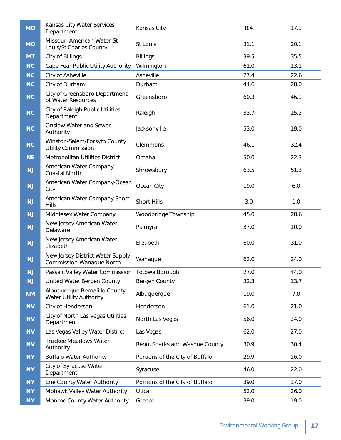| <b>MO</b> | Kansas City Water Services<br>Department                     | Kansas City                     | 8.4  | 17.1 |
|-----------|--------------------------------------------------------------|---------------------------------|------|------|
| <b>MO</b> | Missouri American Water-St<br>Louis/St Charles County        | St Louis                        | 31.1 | 20.1 |
| <b>MT</b> | City of Billings                                             | <b>Billings</b>                 | 39.5 | 35.5 |
| <b>NC</b> | Cape Fear Public Utility Authority                           | Wilmington                      | 61.0 | 13.1 |
| <b>NC</b> | City of Asheville                                            | Asheville                       | 27.4 | 22.6 |
| <b>NC</b> | City of Durham                                               | Durham                          | 44.6 | 28.0 |
| <b>NC</b> | City of Greensboro Department<br>of Water Resources          | Greensboro                      | 60.3 | 46.1 |
| <b>NC</b> | City of Raleigh Public Utilities<br>Department               | Raleigh                         | 33.7 | 15.2 |
| NC        | <b>Onslow Water and Sewer</b><br>Authority                   | Jacksonville                    | 53.0 | 19.0 |
| NC        | Winston-Salem/Forsyth County<br><b>Utility Commission</b>    | Clemmons                        | 46.1 | 32.4 |
| <b>NE</b> | Metropolitan Utilities District                              | Omaha                           | 50.0 | 22.3 |
| NJ        | American Water Company-<br><b>Coastal North</b>              | Shrewsbury                      | 63.5 | 51.3 |
| NJ        | American Water Company-Ocean<br>City                         | Ocean City                      | 19.0 | 6.0  |
| NJ        | American Water Company-Short<br><b>Hills</b>                 | <b>Short Hills</b>              | 3.0  | 1.0  |
| NJ        | Middlesex Water Company                                      | Woodbridge Township             | 45.0 | 28.6 |
| NJ        | New Jersey American Water-<br>Delaware                       | Palmyra                         | 37.0 | 10.0 |
| NJ        | New Jersey American Water-<br>Elizabeth                      | Elizabeth                       | 60.0 | 31.0 |
| NJ        | New Jersey District Water Supply<br>Commission-Wanaque North | Wanaque                         | 62.0 | 24.0 |
| NJ        | Passaic Valley Water Commission                              | Totowa Borough                  | 27.0 | 44.0 |
| NJ        | United Water Bergen County                                   | Bergen County                   | 32.3 | 13.7 |
| <b>NM</b> | Albuquerque Bernalillo County<br>Water Utility Authority     | Albuquerque                     | 19.0 | 7.0  |
| <b>NV</b> | City of Henderson                                            | Henderson                       | 61.0 | 21.0 |
| <b>NV</b> | City of North Las Vegas Utilities<br>Department              | North Las Vegas                 | 56.0 | 24.0 |
| <b>NV</b> | Las Vegas Valley Water District                              | Las Vegas                       | 62.0 | 27.0 |
| <b>NV</b> | <b>Truckee Meadows Water</b><br>Authority                    | Reno, Sparks and Washoe County  | 30.9 | 30.4 |
| <b>NY</b> | <b>Buffalo Water Authority</b>                               | Portions of the City of Buffalo | 29.9 | 16.0 |
| <b>NY</b> | City of Syracuse Water<br>Department                         | Syracuse                        | 46.0 | 22.0 |
| <b>NY</b> | Erie County Water Authority                                  | Portions of the City of Buffalo | 39.0 | 17.0 |
| <b>NY</b> | Mohawk Valley Water Authority                                | Utica                           | 52.0 | 26.0 |
| <b>NY</b> | Monroe County Water Authority                                | Greece                          | 39.0 | 19.0 |
|           |                                                              |                                 |      |      |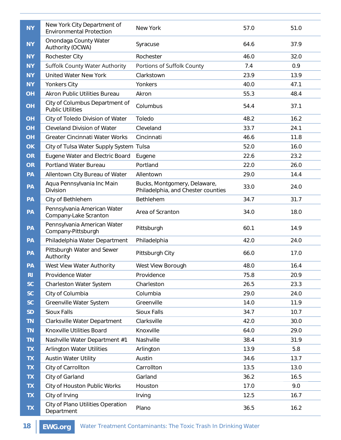| <b>NY</b>      | New York City Department of<br><b>Environmental Protection</b> | New York                                                           | 57.0 | 51.0 |
|----------------|----------------------------------------------------------------|--------------------------------------------------------------------|------|------|
| <b>NY</b>      | Onondaga County Water<br>Authority (OCWA)                      | Syracuse                                                           | 64.6 | 37.9 |
| <b>NY</b>      | Rochester City                                                 | Rochester                                                          | 46.0 | 32.0 |
| <b>NY</b>      | Suffolk County Water Authority                                 | Portions of Suffolk County                                         | 7.4  | 0.9  |
| <b>NY</b>      | <b>United Water New York</b>                                   | Clarkstown                                                         | 23.9 | 13.9 |
| <b>NY</b>      | Yonkers City                                                   | Yonkers                                                            | 40.0 | 47.1 |
| OH             | <b>Akron Public Utilities Bureau</b>                           | Akron                                                              | 55.3 | 48.4 |
| <b>OH</b>      | City of Columbus Department of<br><b>Public Utilities</b>      | Columbus                                                           | 54.4 | 37.1 |
| OH             | City of Toledo Division of Water                               | Toledo                                                             | 48.2 | 16.2 |
| OH             | <b>Cleveland Division of Water</b>                             | Cleveland                                                          | 33.7 | 24.1 |
| OH             | <b>Greater Cincinnati Water Works</b>                          | Cincinnati                                                         | 46.6 | 11.8 |
| <b>OK</b>      | City of Tulsa Water Supply System Tulsa                        |                                                                    | 52.0 | 16.0 |
| <b>OR</b>      | Eugene Water and Electric Board                                | Eugene                                                             | 22.6 | 23.2 |
| <b>OR</b>      | Portland Water Bureau                                          | Portland                                                           | 22.0 | 26.0 |
| PA             | Allentown City Bureau of Water                                 | Allentown                                                          | 29.0 | 14.4 |
| PA             | Aqua Pennsylvania Inc Main<br>Division                         | Bucks, Montgomery, Delaware,<br>Philadelphia, and Chester counties | 33.0 | 24.0 |
| PA             | City of Bethlehem                                              | Bethlehem                                                          | 34.7 | 31.7 |
| PA             | Pennsylvania American Water<br>Company-Lake Scranton           | Area of Scranton                                                   | 34.0 | 18.0 |
| PA             | Pennsylvania American Water<br>Company-Pittsburgh              | Pittsburgh                                                         | 60.1 | 14.9 |
| PA             | Philadelphia Water Department                                  | Philadelphia                                                       | 42.0 | 24.0 |
| PA             | Pittsburgh Water and Sewer<br>Authority                        | Pittsburgh City                                                    | 66.0 | 17.0 |
| PA             | West View Water Authority                                      | West View Borough                                                  | 48.0 | 16.4 |
| R <sub>1</sub> | Providence Water                                               | Providence                                                         | 75.8 | 20.9 |
| <b>SC</b>      | Charleston Water System                                        | Charleston                                                         | 26.5 | 23.3 |
| <b>SC</b>      | City of Columbia                                               | Columbia                                                           | 29.0 | 24.0 |
| <b>SC</b>      | Greenville Water System                                        | Greenville                                                         | 14.0 | 11.9 |
| <b>SD</b>      | <b>Sioux Falls</b>                                             | Sioux Falls                                                        | 34.7 | 10.7 |
| <b>TN</b>      | Clarksville Water Department                                   | Clarksville                                                        | 42.0 | 30.0 |
| <b>TN</b>      | Knoxville Utilities Board                                      | Knoxville                                                          | 64.0 | 29.0 |
| <b>TN</b>      | Nashville Water Department #1                                  | Nashville                                                          | 38.4 | 31.9 |
| <b>TX</b>      | <b>Arlington Water Utilities</b>                               | Arlington                                                          | 13.9 | 5.8  |
| <b>TX</b>      | <b>Austin Water Utility</b>                                    | Austin                                                             | 34.6 | 13.7 |
| <b>TX</b>      | City of Carrollton                                             | Carrollton                                                         | 13.5 | 13.0 |
| <b>TX</b>      | City of Garland                                                | Garland                                                            | 36.2 | 16.5 |
| <b>TX</b>      | City of Houston Public Works                                   | Houston                                                            | 17.0 | 9.0  |
| <b>TX</b>      | City of Irving                                                 | Irving                                                             | 12.5 | 16.7 |
| <b>TX</b>      | City of Plano Utilities Operation<br>Department                | Plano                                                              | 36.5 | 16.2 |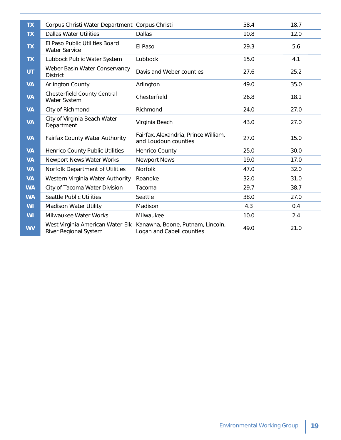| <b>TX</b> | Corpus Christi Water Department Corpus Christi            |                                                               | 58.4 | 18.7 |
|-----------|-----------------------------------------------------------|---------------------------------------------------------------|------|------|
| <b>TX</b> | <b>Dallas Water Utilities</b>                             | <b>Dallas</b>                                                 | 10.8 | 12.0 |
| <b>TX</b> | El Paso Public Utilities Board<br><b>Water Service</b>    | El Paso                                                       | 29.3 | 5.6  |
| <b>TX</b> | Lubbock Public Water System                               | Lubbock                                                       | 15.0 | 4.1  |
| <b>UT</b> | Weber Basin Water Conservancy<br><b>District</b>          | Davis and Weber counties                                      | 27.6 | 25.2 |
| <b>VA</b> | <b>Arlington County</b>                                   | Arlington                                                     | 49.0 | 35.0 |
| <b>VA</b> | Chesterfield County Central<br>Water System               | Chesterfield                                                  | 26.8 | 18.1 |
| <b>VA</b> | City of Richmond                                          | Richmond                                                      | 24.0 | 27.0 |
| <b>VA</b> | City of Virginia Beach Water<br>Department                | Virginia Beach                                                | 43.0 | 27.0 |
| <b>VA</b> | Fairfax County Water Authority                            | Fairfax, Alexandria, Prince William,<br>and Loudoun counties  | 27.0 | 15.0 |
| <b>VA</b> | Henrico County Public Utilities                           | Henrico County                                                | 25.0 | 30.0 |
| <b>VA</b> | Newport News Water Works                                  | <b>Newport News</b>                                           | 19.0 | 17.0 |
| <b>VA</b> | Norfolk Department of Utilities                           | <b>Norfolk</b>                                                | 47.0 | 32.0 |
| <b>VA</b> | Western Virginia Water Authority                          | Roanoke                                                       | 32.0 | 31.0 |
| <b>WA</b> | City of Tacoma Water Division                             | Tacoma                                                        | 29.7 | 38.7 |
| <b>WA</b> | <b>Seattle Public Utilities</b>                           | Seattle                                                       | 38.0 | 27.0 |
| WI        | <b>Madison Water Utility</b>                              | Madison                                                       | 4.3  | 0.4  |
| WI        | Milwaukee Water Works                                     | Milwaukee                                                     | 10.0 | 2.4  |
| <b>WV</b> | West Virginia American Water-Elk<br>River Regional System | Kanawha, Boone, Putnam, Lincoln,<br>Logan and Cabell counties | 49.0 | 21.0 |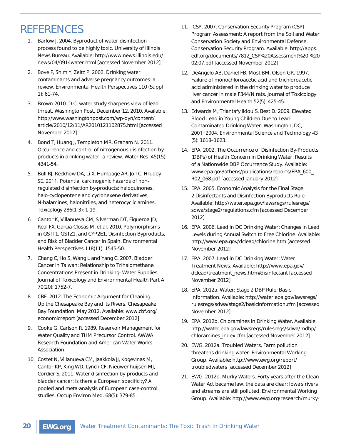### REFERENCES

- 1. Barlow J. 2004. Byproduct of water-disinfection process found to be highly toxic. University of Illinois News Bureau. Available: http://www.news.illinois.edu/ news/04/0914water.html [accessed November 2012]
- 2. Bove F, Shim Y, Zeitz P. 2002. Drinking water contaminants and adverse pregnancy outcomes: a review. Environmental Health Perspectives 110 (Suppl 1): 61-74.
- 3. Brown 2010. D.C. water study sharpens view of lead threat. Washington Post. December 12, 2010. Available: http://www.washingtonpost.com/wp-dyn/content/ article/2010/12/11/AR2010121102875.html [accessed November 2012]
- 4. Bond T, Huang J, Templeton MR, Graham N. 2011. Occurrence and control of nitrogenous disinfection byproducts in drinking water--a review. Water Res. 45(15): 4341-54.
- 5. Bull RJ, Reckhow DA, Li X, Humpage AR, Joll C, Hrudey SE. 2011. Potential carcinogenic hazards of nonregulated disinfection by-products: haloquinones, halo-cyclopentene and cyclohexene derivatives, N-halamines, halonitriles, and heterocyclic amines. Toxicology 286(1-3): 1-19.
- 6. Cantor K, Villanueva CM, Silverman DT, Figueroa JD, Real FX, Garcia-Closas M, et al. 2010. Polymorphisms in GSTT1, GSTZ1, and CYP2E1, Disinfection Byproducts, and Risk of Bladder Cancer in Spain. Environmental Health Perspectives 118(11): 1545-50.
- 7. Chang C, Ho S, Wang L and Yang C. 2007. Bladder Cancer in Taiwan: Relationship to Trihalomethane Concentrations Present in Drinking- Water Supplies. Journal of Toxicology and Environmental Health Part A 70(20): 1752-7.
- 8. CBF. 2012. The Economic Argument for Cleaning Up the Chesapeake Bay and its Rivers. Chesapeake Bay Foundation. May 2012. Available: www.cbf.org/ economicreport [accessed December 2012]
- 9. Cooke G, Carlson R. 1989. Reservoir Management for Water Quality and THM Precursor Control. AWWA Research Foundation and American Water Works Association.
- 10. Costet N, Villanueva CM, Jaakkola JJ, Kogevinas M, Cantor KP, King WD, Lynch CF, Nieuwenhuijsen MJ, Cordier S. 2011. Water disinfection by-products and bladder cancer: is there a European specificity? A pooled and meta-analysis of European case-control studies. Occup Environ Med. 68(5): 379-85.
- 11. CSP. 2007. Conservation Security Program (CSP) Program Assessment: A report from the Soil and Water Conservation Society and Environmental Defense. Conservation Security Program. Available: http://apps. edf.org/documents/7812\_CSP%20Assessment%20-%20 02.07.pdf [accessed November 2012]
- 12. DeAngelo AB, Daniel FB, Most BM, Olson GR. 1997. Failure of monochloroacetic acid and trichloroacetic acid administered in the drinking water to produce liver cancer in male F344/N rats. Journal of Toxicology and Environmental Health 52(5): 425-45.
- 13. Edwards M, Triantafyllidou S, Best D. 2009. Elevated Blood Lead in Young Children Due to Lead-Contaminated Drinking Water: Washington, DC, 2001-2004. Environmental Science and Technology 43 (5): 1618–1623.
- 14. EPA. 2002. The Occurrence of Disinfection By-Products (DBPs) of Health Concern in Drinking Water: Results of a Nationwide DBP Occurrence Study. Available: www.epa.gov/athens/publications/reports/EPA\_600\_ R02\_068.pdf [accessed January 2012]
- 15. EPA. 2005. Economic Analysis for the Final Stage 2 Disinfectants and Disinfection Byproducts Rule. Available: http://water.epa.gov/lawsregs/rulesregs/ sdwa/stage2/regulations.cfm [accessed December 2012]
- 16. EPA. 2006. Lead in DC Drinking Water: Changes in Lead Levels during Annual Switch to Free Chlorine. Available: http://www.epa.gov/dclead/chlorine.htm [accessed November 2012]
- 17. EPA. 2007. Lead in DC Drinking Water: Water Treatment News. Available: http://www.epa.gov/ dclead/treatment\_news.htm#disinfectant [accessed November 2012]
- 18. EPA. 2012a. Water: Stage 2 DBP Rule: Basic Information. Available: http://water.epa.gov/lawsregs/ rulesregs/sdwa/stage2/basicinformation.cfm [accessed November 2012]
- 19. EPA. 2012b. Chloramines in Drinking Water. Available: http://water.epa.gov/lawsregs/rulesregs/sdwa/mdbp/ chloramines\_index.cfm [accessed November 2012]
- 20. EWG. 2012a. Troubled Waters. Farm pollution threatens drinking water. Environmental Working Group. Available: http://www.ewg.org/report/ troubledwaters [accessed December 2012]
- 21. EWG. 2012b. Murky Waters. Forty years after the Clean Water Act became law, the data are clear: Iowa's rivers and streams are still polluted. Environmental Working Group. Available: http://www.ewg.org/research/murky-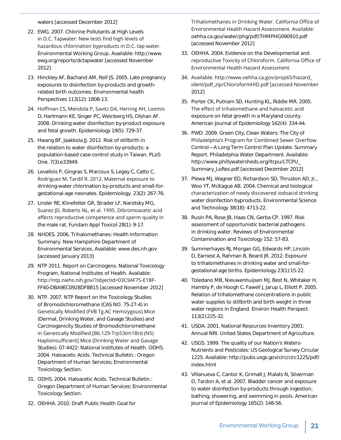waters [accessed December 2012]

- 22. EWG. 2007. Chlorine Pollutants at High Levels in D.C. Tapwater: New tests find high levels of hazardous chlorination byproducts in D.C. tap water. Environmental Working Group. Available: http://www. ewg.org/reports/dctapwater [accessed November 2012]
- 23. Hinckley AF, Bachand AM, Reif JS. 2005. Late pregnancy exposures to disinfection by-products and growthrelated birth outcomes. Environmental health Perspectives 113(12): 1808-13.
- 24. Hoffman CS, Mendola P, Savitz DA, Herring AH, Loomis D, Hartmann KE, Singer PC, Weinberg HS, Olshan AF. 2008. Drinking water disinfection by-product exposure and fetal growth. Epidemiology 19(5): 729-37.
- 25. Hwang BF, Jaakkola JJ. 2012. Risk of stillbirth in the relation to water disinfection by-products: a population-based case-control study in Taiwan. PLoS One. 7(3):e33949.
- 26. Levallois P, Gingras S, Marcoux S, Legay C, Catto C, Rodriguez M, Tardif R. 2012. Maternal exposure to drinking-water chlorination by-products and small-forgestational-age neonates. Epidemiology. 23(2): 267-76.
- 27. Linder RE, Klinefelter GR, Strader LF, Narotsky MG, Suarez JD, Roberts NL, et al. 1995. Dibromoacetic acid affects reproductive competence and sperm quality in the male rat. Fundam Appl Toxicol 28(1): 9-17.
- 28. NHDES. 2006. Trihalomethanes: Health Information Summary. New Hampshire Department of Environmental Services. Available: www.des.nh.gov [accessed January 2013]
- 29. NTP 2011. Report on Carcinogens. National Toxicology Program, National Institutes of Health. Available: http://ntp.niehs.nih.gov/?objectid=03C9AF75-E1BF-FF40-DBA9EC0928DF8B15 [accessed November 2012]
- 30. NTP. 2007. NTP Report on the Toxicology Studies of Bromodichloromethane (CAS NO. 75-27-4) in Genetically Modified (FVB Tg.AC Hemizygous) Mice (Dermal, Drinking Water, and Gavage Studies) and Carcinogenicity Studies of Bromodichloromethane in Genetically Modified [B6.129-Trp53tm1Brd (N5) Haploinsufficient] Mice (Drinking Water and Gavage Studies). 07-4422: National Institutes of Health. ODHS. 2004. Haloacetic Acids. Technical Bulletin.: Oregon Department of Human Services; Environmental Toxicology Section.
- 31. ODHS. 2004. Haloacetic Acids. Technical Bulletin.: Oregon Department of Human Services; Environmental Toxicology Section.
- 32. OEHHA. 2010. Draft Public Health Goal for

Trihalomethanes in Drinking Water. California Office of Environmental Health Hazard Assessment. Available: oehha.ca.gov/water/phg/pdf/THMPHG090910.pdf [accessed November 2012]

- 33. OEHHA. 2004. Evidence on the Developmental and reproductive Toxicity of Chloroform. California Office of Environmental Health Hazard Assessment.
- 34. Available: http://www.oehha.ca.gov/prop65/hazard ident/pdf\_zip/ChloroformHID.pdf [accessed November 2012]
- 35. Porter CK, Putnam SD, Hunting KL, Riddle MR. 2005. The effect of trihalomethane and haloacetic acid exposure on fetal growth in a Maryland county. American Journal of Epidemiology 162(4): 334-44.
- 36. PWD. 2009. Green City, Clean Waters: The City of Philadelphia's Program for Combined Sewer Overflow Control—A Long Term Control Plan Update. Summary Report. Philadelphia Water Department. Available: http://www.phillywatersheds.org/ltcpu/LTCPU\_ Summary\_LoRes.pdf [accessed December 2012]
- 37. Plewa MJ, Wagner ED, Richardson SD, Thruston AD, Jr., Woo YT, McKague AB. 2004. Chemical and biological characterization of newly discovered iodoacid drinking water disinfection byproducts. Environmental Science and Technology 38(18): 4713-22.
- 38. Rusin PA, Rose JB, Haas CN, Gerba CP. 1997. Risk assessment of opportunistic bacterial pathogens in drinking water. Reviews of Environmental Contamination and Toxicology 152: 57-83.
- 39. Summerhayes RJ, Morgan GG, Edwards HP, Lincoln D, Earnest A, Rahman B, Beard JR. 2012. Exposure to trihalomethanes in drinking water and small-forgestational-age births. Epidemiology 23(1):15-22.
- 40. Toledano MB, Nieuwenhuijsen MJ, Best N, Whitaker H, Hambly P, de Hoogh C, Fawell J, Jarup L, Elliott P. 2005. Relation of trihalomethane concentrations in public water supplies to stillbirth and birth weight in three water regions in England. Environ Health Perspect. 113(2):225-32.
- 41. USDA. 2001. National Resources Inventory 2001: Annual NRI. United States Department of Agriculture.
- 42. USGS. 1999. The quality of our Nation's Waters-Nutrients and Pesticides: US Geological Survey Circular 1225. Available: http://pubs.usgs.gov/circ/circ1225/pdf/ index.html
- 43. Villanueva C, Cantor K, Grimalt J, Malats N, Silverman D, Tardon A, et al. 2007. Bladder cancer and exposure to water disinfection by-products through ingestion, bathing, showering, and swimming in pools. American Journal of Epidemiology 165(2): 148-56.